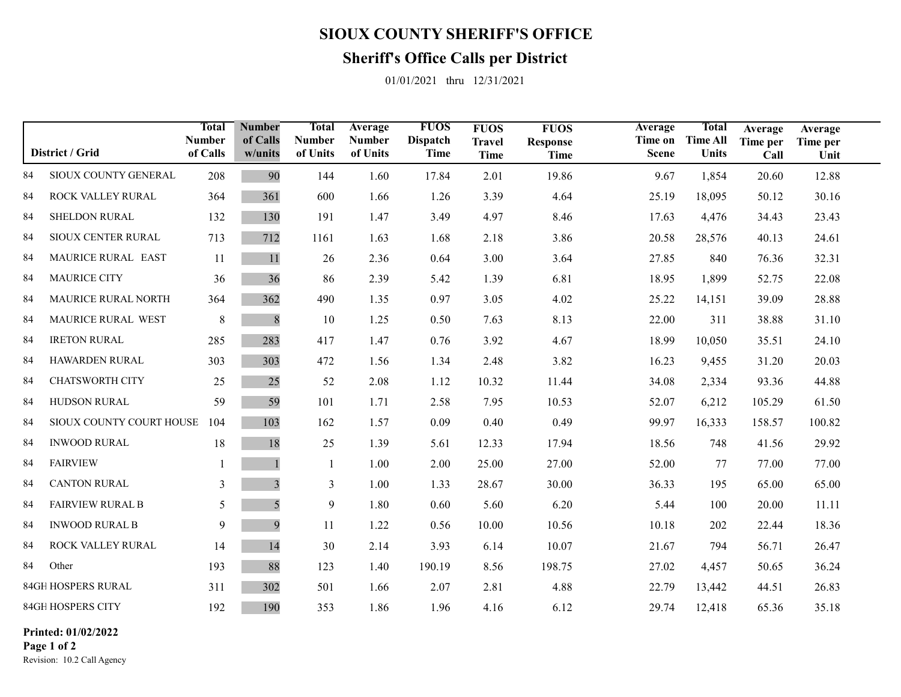## **SIOUX COUNTY SHERIFF'S OFFICE**

## **Sheriff's Office Calls per District**

01/01/2021 thru 12/31/2021

| District / Grid           |                          | Total<br><b>Number</b><br>of Calls | <b>Number</b><br>of Calls<br>w/units | <b>Total</b><br><b>Number</b><br>of Units | Average<br><b>Number</b><br>of Units | <b>FUOS</b><br><b>Dispatch</b><br>Time | <b>FUOS</b><br><b>Travel</b><br><b>Time</b> | <b>FUOS</b><br><b>Response</b><br><b>Time</b> | Average<br>Time on<br><b>Scene</b> | <b>Total</b><br><b>Time All</b><br><b>Units</b> | Average<br>Time per<br>Call | Average<br>Time per<br>Unit |  |
|---------------------------|--------------------------|------------------------------------|--------------------------------------|-------------------------------------------|--------------------------------------|----------------------------------------|---------------------------------------------|-----------------------------------------------|------------------------------------|-------------------------------------------------|-----------------------------|-----------------------------|--|
| 84                        | SIOUX COUNTY GENERAL     | 208                                | 90                                   | 144                                       | 1.60                                 | 17.84                                  | 2.01                                        | 19.86                                         | 9.67                               | 1,854                                           | 20.60                       | 12.88                       |  |
| 84                        | ROCK VALLEY RURAL        | 364                                | 361                                  | 600                                       | 1.66                                 | 1.26                                   | 3.39                                        | 4.64                                          | 25.19                              | 18,095                                          | 50.12                       | 30.16                       |  |
| 84                        | <b>SHELDON RURAL</b>     | 132                                | 130                                  | 191                                       | 1.47                                 | 3.49                                   | 4.97                                        | 8.46                                          | 17.63                              | 4,476                                           | 34.43                       | 23.43                       |  |
| 84                        | SIOUX CENTER RURAL       | 713                                | 712                                  | 1161                                      | 1.63                                 | 1.68                                   | 2.18                                        | 3.86                                          | 20.58                              | 28,576                                          | 40.13                       | 24.61                       |  |
| 84                        | MAURICE RURAL EAST       | 11                                 | 11                                   | 26                                        | 2.36                                 | 0.64                                   | 3.00                                        | 3.64                                          | 27.85                              | 840                                             | 76.36                       | 32.31                       |  |
| 84                        | <b>MAURICE CITY</b>      | 36                                 | 36                                   | 86                                        | 2.39                                 | 5.42                                   | 1.39                                        | 6.81                                          | 18.95                              | 1,899                                           | 52.75                       | 22.08                       |  |
| 84                        | MAURICE RURAL NORTH      | 364                                | 362                                  | 490                                       | 1.35                                 | 0.97                                   | 3.05                                        | 4.02                                          | 25.22                              | 14,151                                          | 39.09                       | 28.88                       |  |
| 84                        | MAURICE RURAL WEST       | $\,$ 8 $\,$                        | $\,$ 8 $\,$                          | 10                                        | 1.25                                 | 0.50                                   | 7.63                                        | 8.13                                          | 22.00                              | 311                                             | 38.88                       | 31.10                       |  |
| 84                        | <b>IRETON RURAL</b>      | 285                                | 283                                  | 417                                       | 1.47                                 | 0.76                                   | 3.92                                        | 4.67                                          | 18.99                              | 10,050                                          | 35.51                       | 24.10                       |  |
| 84                        | HAWARDEN RURAL           | 303                                | 303                                  | 472                                       | 1.56                                 | 1.34                                   | 2.48                                        | 3.82                                          | 16.23                              | 9,455                                           | 31.20                       | 20.03                       |  |
| 84                        | <b>CHATSWORTH CITY</b>   | 25                                 | 25                                   | 52                                        | 2.08                                 | 1.12                                   | 10.32                                       | 11.44                                         | 34.08                              | 2,334                                           | 93.36                       | 44.88                       |  |
| 84                        | HUDSON RURAL             | 59                                 | 59                                   | 101                                       | 1.71                                 | 2.58                                   | 7.95                                        | 10.53                                         | 52.07                              | 6,212                                           | 105.29                      | 61.50                       |  |
| 84                        | SIOUX COUNTY COURT HOUSE | 104                                | 103                                  | 162                                       | 1.57                                 | 0.09                                   | 0.40                                        | 0.49                                          | 99.97                              | 16,333                                          | 158.57                      | 100.82                      |  |
| 84                        | <b>INWOOD RURAL</b>      | 18                                 | 18                                   | 25                                        | 1.39                                 | 5.61                                   | 12.33                                       | 17.94                                         | 18.56                              | 748                                             | 41.56                       | 29.92                       |  |
| 84                        | <b>FAIRVIEW</b>          |                                    |                                      | 1                                         | 1.00                                 | 2.00                                   | 25.00                                       | 27.00                                         | 52.00                              | 77                                              | 77.00                       | 77.00                       |  |
| 84                        | <b>CANTON RURAL</b>      | 3                                  | $\overline{\mathbf{3}}$              | 3                                         | 1.00                                 | 1.33                                   | 28.67                                       | 30.00                                         | 36.33                              | 195                                             | 65.00                       | 65.00                       |  |
| 84                        | <b>FAIRVIEW RURAL B</b>  | 5                                  | 5                                    | 9                                         | 1.80                                 | 0.60                                   | 5.60                                        | 6.20                                          | 5.44                               | 100                                             | 20.00                       | 11.11                       |  |
| 84                        | <b>INWOOD RURAL B</b>    | 9                                  | 9                                    | 11                                        | 1.22                                 | 0.56                                   | 10.00                                       | 10.56                                         | 10.18                              | 202                                             | 22.44                       | 18.36                       |  |
| 84                        | ROCK VALLEY RURAL        | 14                                 | 14                                   | 30                                        | 2.14                                 | 3.93                                   | 6.14                                        | 10.07                                         | 21.67                              | 794                                             | 56.71                       | 26.47                       |  |
| 84                        | Other                    | 193                                | 88                                   | 123                                       | 1.40                                 | 190.19                                 | 8.56                                        | 198.75                                        | 27.02                              | 4,457                                           | 50.65                       | 36.24                       |  |
| <b>84GH HOSPERS RURAL</b> |                          | 311                                | 302                                  | 501                                       | 1.66                                 | 2.07                                   | 2.81                                        | 4.88                                          | 22.79                              | 13,442                                          | 44.51                       | 26.83                       |  |
| 84GH HOSPERS CITY         |                          | 192                                | 190                                  | 353                                       | 1.86                                 | 1.96                                   | 4.16                                        | 6.12                                          | 29.74                              | 12,418                                          | 65.36                       | 35.18                       |  |

0 00 0 00 **Printed: 01/02/2022Page 1 of 2**

Revision: 10.2 Call Agency